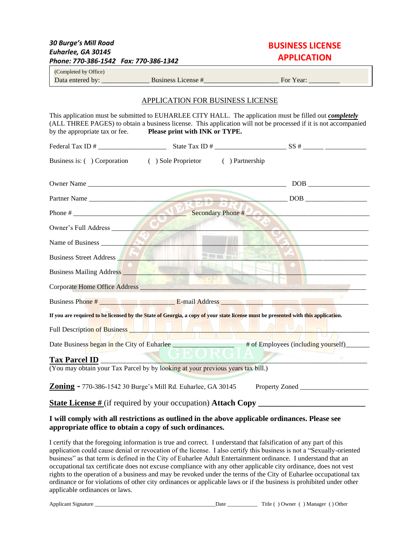| <b>30 Burge's Mill Road</b><br>Euharlee, GA 30145<br>Phone: 770-386-1542 Fax: 770-386-1342                                                                                                                                                                                                            | <b>BUSINESS LICENSE</b><br><b>APPLICATION</b> |  |  |  |  |
|-------------------------------------------------------------------------------------------------------------------------------------------------------------------------------------------------------------------------------------------------------------------------------------------------------|-----------------------------------------------|--|--|--|--|
| (Completed by Office)                                                                                                                                                                                                                                                                                 |                                               |  |  |  |  |
|                                                                                                                                                                                                                                                                                                       |                                               |  |  |  |  |
| APPLICATION FOR BUSINESS LICENSE                                                                                                                                                                                                                                                                      |                                               |  |  |  |  |
| This application must be submitted to EUHARLEE CITY HALL. The application must be filled out <i>completely</i><br>(ALL THREE PAGES) to obtain a business license. This application will not be processed if it is not accompanied<br>by the appropriate tax or fee.<br>Please print with INK or TYPE. |                                               |  |  |  |  |
|                                                                                                                                                                                                                                                                                                       |                                               |  |  |  |  |
| Business is: ( ) Corporation ( ) Sole Proprietor ( ) Partnership                                                                                                                                                                                                                                      |                                               |  |  |  |  |
|                                                                                                                                                                                                                                                                                                       |                                               |  |  |  |  |
| Partner Name                                                                                                                                                                                                                                                                                          |                                               |  |  |  |  |
| Phone #                                                                                                                                                                                                                                                                                               |                                               |  |  |  |  |
| Owner's Full Address                                                                                                                                                                                                                                                                                  |                                               |  |  |  |  |
| Name of Business <b>Report of Business</b>                                                                                                                                                                                                                                                            |                                               |  |  |  |  |
| Business Street Address <b>All Street Address</b>                                                                                                                                                                                                                                                     |                                               |  |  |  |  |
| Business Mailing Address                                                                                                                                                                                                                                                                              |                                               |  |  |  |  |
| Corporate Home Office Address                                                                                                                                                                                                                                                                         |                                               |  |  |  |  |
| Business Phone # Research 2012 E-mail Address                                                                                                                                                                                                                                                         |                                               |  |  |  |  |
| If you are required to be licensed by the State of Georgia, a copy of your state license must be presented with this application.                                                                                                                                                                     |                                               |  |  |  |  |
| <u>the state of the state of the state of the state of the state of the state of the state of the state of the state of the state of the state of the state of the state of the state of the state of the state of the state of </u>                                                                  |                                               |  |  |  |  |
| Date Business began in the City of Euharlee ___________________ # of Employees (including yourself)                                                                                                                                                                                                   |                                               |  |  |  |  |
| <b>Tax Parcel ID</b>                                                                                                                                                                                                                                                                                  |                                               |  |  |  |  |
| (You may obtain your Tax Parcel by by looking at your previous years tax bill.)                                                                                                                                                                                                                       |                                               |  |  |  |  |
| Zoning - 770-386-1542 30 Burge's Mill Rd. Euharlee, GA 30145                                                                                                                                                                                                                                          |                                               |  |  |  |  |
| <b>State License #</b> (if required by your occupation) <b>Attach Copy</b>                                                                                                                                                                                                                            |                                               |  |  |  |  |

## **I will comply with all restrictions as outlined in the above applicable ordinances. Please see appropriate office to obtain a copy of such ordinances.**

I certify that the foregoing information is true and correct. I understand that falsification of any part of this application could cause denial or revocation of the license. I also certify this business is not a "Sexually-oriented business" as that term is defined in the City of Euharlee Adult Entertainment ordinance. I understand that an occupational tax certificate does not excuse compliance with any other applicable city ordinance, does not vest rights to the operation of a business and may be revoked under the terms of the City of Euharlee occupational tax ordinance or for violations of other city ordinances or applicable laws or if the business is prohibited under other applicable ordinances or laws.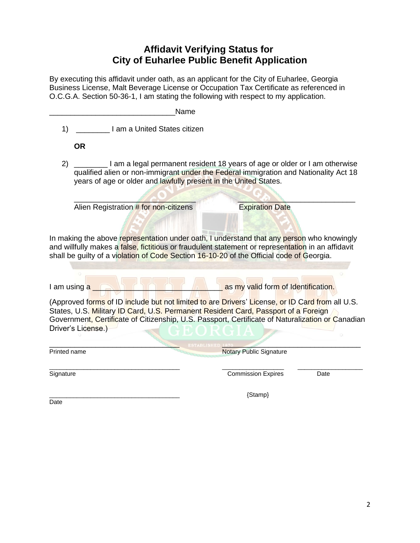## **Affidavit Verifying Status for City of Euharlee Public Benefit Application**

By executing this affidavit under oath, as an applicant for the City of Euharlee, Georgia Business License, Malt Beverage License or Occupation Tax Certificate as referenced in O.C.G.A. Section 50-36-1, I am stating the following with respect to my application.

|              | Name                                                                                                                                                                                                                                                                                                            |                                     |      |
|--------------|-----------------------------------------------------------------------------------------------------------------------------------------------------------------------------------------------------------------------------------------------------------------------------------------------------------------|-------------------------------------|------|
| 1)           | I am a United States citizen                                                                                                                                                                                                                                                                                    |                                     |      |
|              | <b>OR</b>                                                                                                                                                                                                                                                                                                       |                                     |      |
| 2)           | I am a legal permanent resident 18 years of age or older or I am otherwise<br>qualified alien or non-immigrant under the Federal immigration and Nationality Act 18<br>years of age or older and lawfully present in the United States.                                                                         |                                     |      |
|              | Alien Registration # for non-citizens                                                                                                                                                                                                                                                                           | <b>Expiration Date</b>              |      |
|              | and willfully makes a false, fictitious or fraudulent statement or representation in an affidavit<br>shall be guilty of a violation of Code Section 16-10-20 of the Official code of Georgia.<br>I am using a                                                                                                   | as my valid form of Identification. |      |
|              | (Approved forms of ID include but not limited to are Drivers' License, or ID Card from all U.S.<br>States, U.S. Military ID Card, U.S. Permanent Resident Card, Passport of a Foreign<br>Government, Certificate of Citizenship, U.S. Passport, Certificate of Naturalization or Canadian<br>Driver's License.) |                                     |      |
| Printed name |                                                                                                                                                                                                                                                                                                                 | <b>Notary Public Signature</b>      |      |
| Signature    |                                                                                                                                                                                                                                                                                                                 | <b>Commission Expires</b>           | Date |
|              |                                                                                                                                                                                                                                                                                                                 | {Stamp}                             |      |

Date